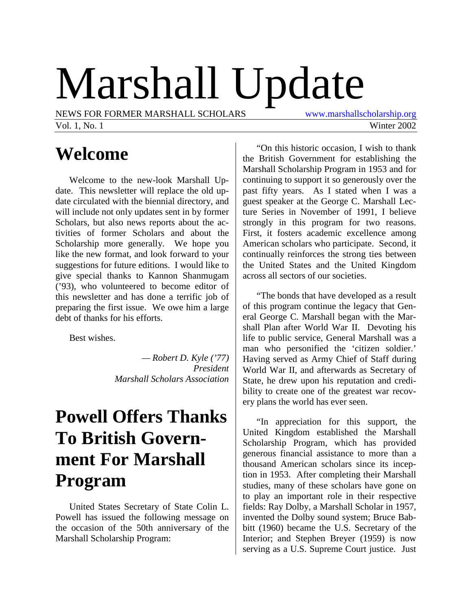# Marshall Update

NEWS FOR FORMER MARSHALL SCHOLARS [www.marshallscholarship.org](http://www.marshallscholarship.org/)

Vol. 1, No. 1 Winter 2002

# **Welcome**

Welcome to the new-look Marshall Update. This newsletter will replace the old update circulated with the biennial directory, and will include not only updates sent in by former Scholars, but also news reports about the activities of former Scholars and about the Scholarship more generally. We hope you like the new format, and look forward to your suggestions for future editions. I would like to give special thanks to Kannon Shanmugam ('93), who volunteered to become editor of this newsletter and has done a terrific job of preparing the first issue. We owe him a large debt of thanks for his efforts.

Best wishes.

*— Robert D. Kyle ('77) President Marshall Scholars Association*

# **Powell Offers Thanks To British Government For Marshall Program**

United States Secretary of State Colin L. Powell has issued the following message on the occasion of the 50th anniversary of the Marshall Scholarship Program:

"On this historic occasion, I wish to thank the British Government for establishing the Marshall Scholarship Program in 1953 and for continuing to support it so generously over the past fifty years. As I stated when I was a guest speaker at the George C. Marshall Lecture Series in November of 1991, I believe strongly in this program for two reasons. First, it fosters academic excellence among American scholars who participate. Second, it continually reinforces the strong ties between the United States and the United Kingdom across all sectors of our societies.

"The bonds that have developed as a result of this program continue the legacy that General George C. Marshall began with the Marshall Plan after World War II. Devoting his life to public service, General Marshall was a man who personified the 'citizen soldier.' Having served as Army Chief of Staff during World War II, and afterwards as Secretary of State, he drew upon his reputation and credibility to create one of the greatest war recovery plans the world has ever seen.

"In appreciation for this support, the United Kingdom established the Marshall Scholarship Program, which has provided generous financial assistance to more than a thousand American scholars since its inception in 1953. After completing their Marshall studies, many of these scholars have gone on to play an important role in their respective fields: Ray Dolby, a Marshall Scholar in 1957, invented the Dolby sound system; Bruce Babbitt (1960) became the U.S. Secretary of the Interior; and Stephen Breyer (1959) is now serving as a U.S. Supreme Court justice. Just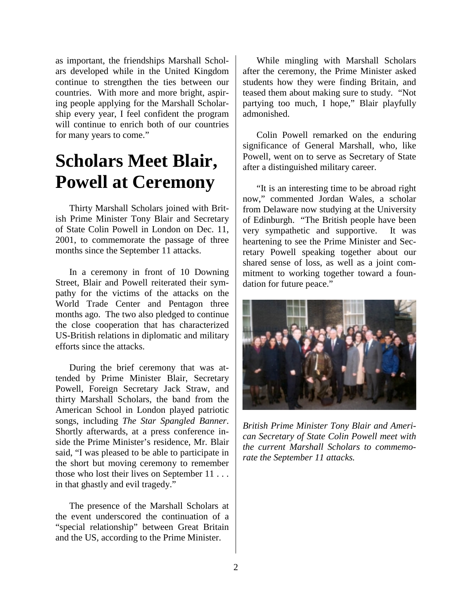as important, the friendships Marshall Scholars developed while in the United Kingdom continue to strengthen the ties between our countries. With more and more bright, aspiring people applying for the Marshall Scholarship every year, I feel confident the program will continue to enrich both of our countries for many years to come."

# **Scholars Meet Blair, Powell at Ceremony**

Thirty Marshall Scholars joined with British Prime Minister Tony Blair and Secretary of State Colin Powell in London on Dec. 11, 2001, to commemorate the passage of three months since the September 11 attacks.

In a ceremony in front of 10 Downing Street, Blair and Powell reiterated their sympathy for the victims of the attacks on the World Trade Center and Pentagon three months ago. The two also pledged to continue the close cooperation that has characterized US-British relations in diplomatic and military efforts since the attacks.

During the brief ceremony that was attended by Prime Minister Blair, Secretary Powell, Foreign Secretary Jack Straw, and thirty Marshall Scholars, the band from the American School in London played patriotic songs, including *The Star Spangled Banner*. Shortly afterwards, at a press conference inside the Prime Minister's residence, Mr. Blair said, "I was pleased to be able to participate in the short but moving ceremony to remember those who lost their lives on September 11 . . . in that ghastly and evil tragedy."

The presence of the Marshall Scholars at the event underscored the continuation of a "special relationship" between Great Britain and the US, according to the Prime Minister.

While mingling with Marshall Scholars after the ceremony, the Prime Minister asked students how they were finding Britain, and teased them about making sure to study. "Not partying too much, I hope," Blair playfully admonished.

Colin Powell remarked on the enduring significance of General Marshall, who, like Powell, went on to serve as Secretary of State after a distinguished military career.

"It is an interesting time to be abroad right now," commented Jordan Wales, a scholar from Delaware now studying at the University of Edinburgh. "The British people have been very sympathetic and supportive. It was heartening to see the Prime Minister and Secretary Powell speaking together about our shared sense of loss, as well as a joint commitment to working together toward a foundation for future peace."



*British Prime Minister Tony Blair and American Secretary of State Colin Powell meet with the current Marshall Scholars to commemorate the September 11 attacks.*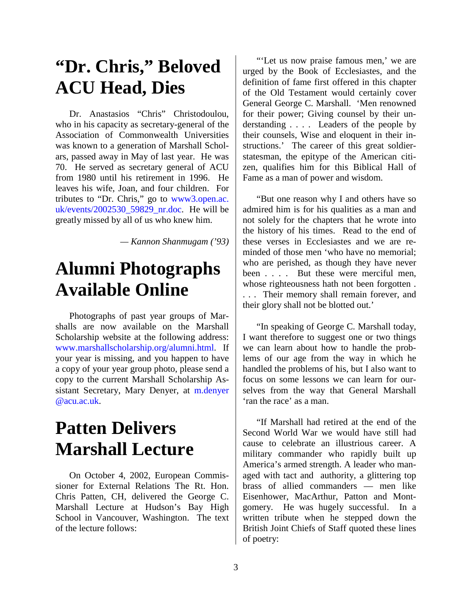# **"Dr. Chris," Beloved ACU Head, Dies**

Dr. Anastasios "Chris" Christodoulou, who in his capacity as secretary-general of the Association of Commonwealth Universities was known to a generation of Marshall Scholars, passed away in May of last year. He was 70. He served as secretary general of ACU from 1980 until his retirement in 1996. He leaves his wife, Joan, and four children. For tributes to "Dr. Chris," go to [www3.open.ac.](http://www3.open.ac. uk/events/2002530_59829_nr.doc) [uk/events/2002530\\_59829\\_nr.doc.](http://www3.open.ac. uk/events/2002530_59829_nr.doc) He will be greatly missed by all of us who knew him.

*— Kannon Shanmugam ('93)*

# **Alumni Photographs Available Online**

Photographs of past year groups of Marshalls are now available on the Marshall Scholarship website at the following address: [www.marshallscholarship.org/alumni.html.](http://www.marshallscholarship.org/alumni.html) If your year is missing, and you happen to have a copy of your year group photo, please send a copy to the current Marshall Scholarship Assistant Secretary, Mary Denyer, at [m.denyer](mailto:m.denyer@acu.ac.uk) [@acu.ac.uk.](mailto:m.denyer@acu.ac.uk)

# **Patten Delivers Marshall Lecture**

On October 4, 2002, European Commissioner for External Relations The Rt. Hon. Chris Patten, CH, delivered the George C. Marshall Lecture at Hudson's Bay High School in Vancouver, Washington. The text of the lecture follows:

"'Let us now praise famous men,' we are urged by the Book of Ecclesiastes, and the definition of fame first offered in this chapter of the Old Testament would certainly cover General George C. Marshall. 'Men renowned for their power; Giving counsel by their understanding . . . . Leaders of the people by their counsels, Wise and eloquent in their instructions.' The career of this great soldierstatesman, the epitype of the American citizen, qualifies him for this Biblical Hall of Fame as a man of power and wisdom.

"But one reason why I and others have so admired him is for his qualities as a man and not solely for the chapters that he wrote into the history of his times. Read to the end of these verses in Ecclesiastes and we are reminded of those men 'who have no memorial; who are perished, as though they have never been . . . . But these were merciful men, whose righteousness hath not been forgotten . . . . Their memory shall remain forever, and their glory shall not be blotted out.'

"In speaking of George C. Marshall today, I want therefore to suggest one or two things we can learn about how to handle the problems of our age from the way in which he handled the problems of his, but I also want to focus on some lessons we can learn for ourselves from the way that General Marshall 'ran the race' as a man.

"If Marshall had retired at the end of the Second World War we would have still had cause to celebrate an illustrious career. A military commander who rapidly built up America's armed strength. A leader who managed with tact and authority, a glittering top brass of allied commanders — men like Eisenhower, MacArthur, Patton and Montgomery. He was hugely successful. In a written tribute when he stepped down the British Joint Chiefs of Staff quoted these lines of poetry: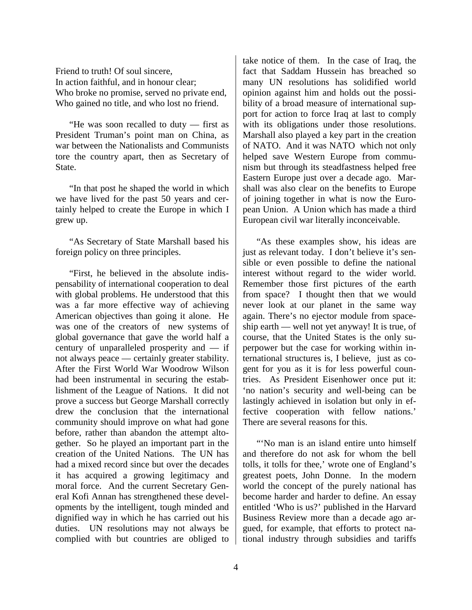Friend to truth! Of soul sincere, In action faithful, and in honour clear; Who broke no promise, served no private end, Who gained no title, and who lost no friend.

"He was soon recalled to duty — first as President Truman's point man on China, as war between the Nationalists and Communists tore the country apart, then as Secretary of State.

"In that post he shaped the world in which we have lived for the past 50 years and certainly helped to create the Europe in which I grew up.

"As Secretary of State Marshall based his foreign policy on three principles.

"First, he believed in the absolute indispensability of international cooperation to deal with global problems. He understood that this was a far more effective way of achieving American objectives than going it alone. He was one of the creators of new systems of global governance that gave the world half a century of unparalleled prosperity and — if not always peace — certainly greater stability. After the First World War Woodrow Wilson had been instrumental in securing the establishment of the League of Nations. It did not prove a success but George Marshall correctly drew the conclusion that the international community should improve on what had gone before, rather than abandon the attempt altogether. So he played an important part in the creation of the United Nations. The UN has had a mixed record since but over the decades it has acquired a growing legitimacy and moral force. And the current Secretary General Kofi Annan has strengthened these developments by the intelligent, tough minded and dignified way in which he has carried out his duties. UN resolutions may not always be complied with but countries are obliged to

take notice of them. In the case of Iraq, the fact that Saddam Hussein has breached so many UN resolutions has solidified world opinion against him and holds out the possibility of a broad measure of international support for action to force Iraq at last to comply with its obligations under those resolutions. Marshall also played a key part in the creation of NATO. And it was NATO which not only helped save Western Europe from communism but through its steadfastness helped free Eastern Europe just over a decade ago. Marshall was also clear on the benefits to Europe of joining together in what is now the European Union. A Union which has made a third European civil war literally inconceivable.

"As these examples show, his ideas are just as relevant today. I don't believe it's sensible or even possible to define the national interest without regard to the wider world. Remember those first pictures of the earth from space? I thought then that we would never look at our planet in the same way again. There's no ejector module from spaceship earth — well not yet anyway! It is true, of course, that the United States is the only superpower but the case for working within international structures is, I believe, just as cogent for you as it is for less powerful countries. As President Eisenhower once put it: 'no nation's security and well-being can be lastingly achieved in isolation but only in effective cooperation with fellow nations.' There are several reasons for this.

"'No man is an island entire unto himself and therefore do not ask for whom the bell tolls, it tolls for thee,' wrote one of England's greatest poets, John Donne. In the modern world the concept of the purely national has become harder and harder to define. An essay entitled 'Who is us?' published in the Harvard Business Review more than a decade ago argued, for example, that efforts to protect national industry through subsidies and tariffs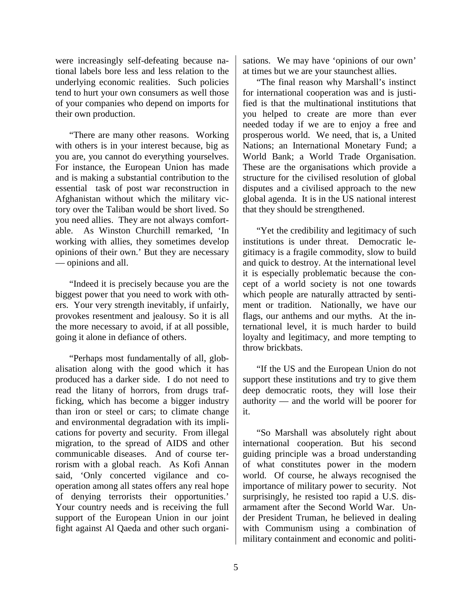were increasingly self-defeating because national labels bore less and less relation to the underlying economic realities. Such policies tend to hurt your own consumers as well those of your companies who depend on imports for their own production.

"There are many other reasons. Working with others is in your interest because, big as you are, you cannot do everything yourselves. For instance, the European Union has made and is making a substantial contribution to the essential task of post war reconstruction in Afghanistan without which the military victory over the Taliban would be short lived. So you need allies. They are not always comfortable. As Winston Churchill remarked, 'In working with allies, they sometimes develop opinions of their own.' But they are necessary — opinions and all.

"Indeed it is precisely because you are the biggest power that you need to work with others. Your very strength inevitably, if unfairly, provokes resentment and jealousy. So it is all the more necessary to avoid, if at all possible, going it alone in defiance of others.

"Perhaps most fundamentally of all, globalisation along with the good which it has produced has a darker side. I do not need to read the litany of horrors, from drugs trafficking, which has become a bigger industry than iron or steel or cars; to climate change and environmental degradation with its implications for poverty and security. From illegal migration, to the spread of AIDS and other communicable diseases. And of course terrorism with a global reach. As Kofi Annan said, 'Only concerted vigilance and cooperation among all states offers any real hope of denying terrorists their opportunities.' Your country needs and is receiving the full support of the European Union in our joint fight against Al Qaeda and other such organisations. We may have 'opinions of our own' at times but we are your staunchest allies.

"The final reason why Marshall's instinct for international cooperation was and is justified is that the multinational institutions that you helped to create are more than ever needed today if we are to enjoy a free and prosperous world. We need, that is, a United Nations; an International Monetary Fund; a World Bank; a World Trade Organisation. These are the organisations which provide a structure for the civilised resolution of global disputes and a civilised approach to the new global agenda. It is in the US national interest that they should be strengthened.

"Yet the credibility and legitimacy of such institutions is under threat. Democratic legitimacy is a fragile commodity, slow to build and quick to destroy. At the international level it is especially problematic because the concept of a world society is not one towards which people are naturally attracted by sentiment or tradition. Nationally, we have our flags, our anthems and our myths. At the international level, it is much harder to build loyalty and legitimacy, and more tempting to throw brickbats.

"If the US and the European Union do not support these institutions and try to give them deep democratic roots, they will lose their authority — and the world will be poorer for it.

"So Marshall was absolutely right about international cooperation. But his second guiding principle was a broad understanding of what constitutes power in the modern world. Of course, he always recognised the importance of military power to security. Not surprisingly, he resisted too rapid a U.S. disarmament after the Second World War. Under President Truman, he believed in dealing with Communism using a combination of military containment and economic and politi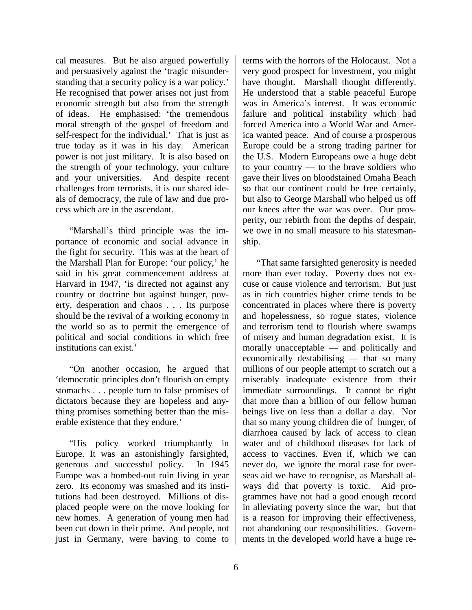cal measures. But he also argued powerfully and persuasively against the 'tragic misunderstanding that a security policy is a war policy.' He recognised that power arises not just from economic strength but also from the strength of ideas. He emphasised: 'the tremendous moral strength of the gospel of freedom and self-respect for the individual.' That is just as true today as it was in his day. American power is not just military. It is also based on the strength of your technology, your culture and your universities. And despite recent challenges from terrorists, it is our shared ideals of democracy, the rule of law and due process which are in the ascendant.

"Marshall's third principle was the importance of economic and social advance in the fight for security. This was at the heart of the Marshall Plan for Europe: 'our policy,' he said in his great commencement address at Harvard in 1947, 'is directed not against any country or doctrine but against hunger, poverty, desperation and chaos . . . Its purpose should be the revival of a working economy in the world so as to permit the emergence of political and social conditions in which free institutions can exist.'

"On another occasion, he argued that 'democratic principles don't flourish on empty stomachs . . . people turn to false promises of dictators because they are hopeless and anything promises something better than the miserable existence that they endure.'

"His policy worked triumphantly in Europe. It was an astonishingly farsighted, generous and successful policy. In 1945 Europe was a bombed-out ruin living in year zero. Its economy was smashed and its institutions had been destroyed. Millions of displaced people were on the move looking for new homes. A generation of young men had been cut down in their prime. And people, not just in Germany, were having to come to

terms with the horrors of the Holocaust. Not a very good prospect for investment, you might have thought. Marshall thought differently. He understood that a stable peaceful Europe was in America's interest. It was economic failure and political instability which had forced America into a World War and America wanted peace. And of course a prosperous Europe could be a strong trading partner for the U.S. Modern Europeans owe a huge debt to your country — to the brave soldiers who gave their lives on bloodstained Omaha Beach so that our continent could be free certainly, but also to George Marshall who helped us off our knees after the war was over. Our prosperity, our rebirth from the depths of despair, we owe in no small measure to his statesmanship.

"That same farsighted generosity is needed more than ever today. Poverty does not excuse or cause violence and terrorism. But just as in rich countries higher crime tends to be concentrated in places where there is poverty and hopelessness, so rogue states, violence and terrorism tend to flourish where swamps of misery and human degradation exist. It is morally unacceptable — and politically and economically destabilising — that so many millions of our people attempt to scratch out a miserably inadequate existence from their immediate surroundings. It cannot be right that more than a billion of our fellow human beings live on less than a dollar a day. Nor that so many young children die of hunger, of diarrhoea caused by lack of access to clean water and of childhood diseases for lack of access to vaccines. Even if, which we can never do, we ignore the moral case for overseas aid we have to recognise, as Marshall always did that poverty is toxic. Aid programmes have not had a good enough record in alleviating poverty since the war, but that is a reason for improving their effectiveness, not abandoning our responsibilities. Governments in the developed world have a huge re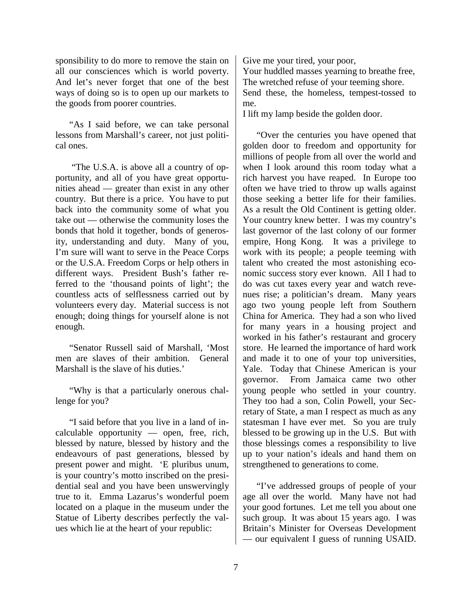sponsibility to do more to remove the stain on all our consciences which is world poverty. And let's never forget that one of the best ways of doing so is to open up our markets to the goods from poorer countries.

"As I said before, we can take personal lessons from Marshall's career, not just political ones.

 "The U.S.A. is above all a country of opportunity, and all of you have great opportunities ahead — greater than exist in any other country. But there is a price. You have to put back into the community some of what you take out — otherwise the community loses the bonds that hold it together, bonds of generosity, understanding and duty. Many of you, I'm sure will want to serve in the Peace Corps or the U.S.A. Freedom Corps or help others in different ways. President Bush's father referred to the 'thousand points of light'; the countless acts of selflessness carried out by volunteers every day. Material success is not enough; doing things for yourself alone is not enough.

"Senator Russell said of Marshall, 'Most men are slaves of their ambition. General Marshall is the slave of his duties.'

"Why is that a particularly onerous challenge for you?

"I said before that you live in a land of incalculable opportunity — open, free, rich, blessed by nature, blessed by history and the endeavours of past generations, blessed by present power and might. 'E pluribus unum, is your country's motto inscribed on the presidential seal and you have been unswervingly true to it. Emma Lazarus's wonderful poem located on a plaque in the museum under the Statue of Liberty describes perfectly the values which lie at the heart of your republic:

Give me your tired, your poor, Your huddled masses yearning to breathe free, The wretched refuse of your teeming shore. Send these, the homeless, tempest-tossed to me.

I lift my lamp beside the golden door.

"Over the centuries you have opened that golden door to freedom and opportunity for millions of people from all over the world and when I look around this room today what a rich harvest you have reaped. In Europe too often we have tried to throw up walls against those seeking a better life for their families. As a result the Old Continent is getting older. Your country knew better. I was my country's last governor of the last colony of our former empire, Hong Kong. It was a privilege to work with its people; a people teeming with talent who created the most astonishing economic success story ever known. All I had to do was cut taxes every year and watch revenues rise; a politician's dream. Many years ago two young people left from Southern China for America. They had a son who lived for many years in a housing project and worked in his father's restaurant and grocery store. He learned the importance of hard work and made it to one of your top universities, Yale. Today that Chinese American is your governor. From Jamaica came two other young people who settled in your country. They too had a son, Colin Powell, your Secretary of State, a man I respect as much as any statesman I have ever met. So you are truly blessed to be growing up in the U.S. But with those blessings comes a responsibility to live up to your nation's ideals and hand them on strengthened to generations to come.

"I've addressed groups of people of your age all over the world. Many have not had your good fortunes. Let me tell you about one such group. It was about 15 years ago. I was Britain's Minister for Overseas Development — our equivalent I guess of running USAID.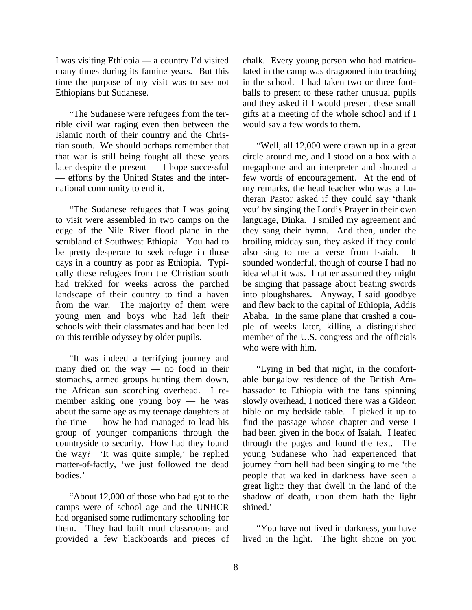I was visiting Ethiopia — a country I'd visited many times during its famine years. But this time the purpose of my visit was to see not Ethiopians but Sudanese.

"The Sudanese were refugees from the terrible civil war raging even then between the Islamic north of their country and the Christian south. We should perhaps remember that that war is still being fought all these years later despite the present — I hope successful — efforts by the United States and the international community to end it.

"The Sudanese refugees that I was going to visit were assembled in two camps on the edge of the Nile River flood plane in the scrubland of Southwest Ethiopia. You had to be pretty desperate to seek refuge in those days in a country as poor as Ethiopia. Typically these refugees from the Christian south had trekked for weeks across the parched landscape of their country to find a haven from the war. The majority of them were young men and boys who had left their schools with their classmates and had been led on this terrible odyssey by older pupils.

"It was indeed a terrifying journey and many died on the way — no food in their stomachs, armed groups hunting them down, the African sun scorching overhead. I remember asking one young boy — he was about the same age as my teenage daughters at the time — how he had managed to lead his group of younger companions through the countryside to security. How had they found the way? 'It was quite simple,' he replied matter-of-factly, 'we just followed the dead bodies.'

"About 12,000 of those who had got to the camps were of school age and the UNHCR had organised some rudimentary schooling for them. They had built mud classrooms and provided a few blackboards and pieces of

chalk. Every young person who had matriculated in the camp was dragooned into teaching in the school. I had taken two or three footballs to present to these rather unusual pupils and they asked if I would present these small gifts at a meeting of the whole school and if I would say a few words to them.

"Well, all 12,000 were drawn up in a great circle around me, and I stood on a box with a megaphone and an interpreter and shouted a few words of encouragement. At the end of my remarks, the head teacher who was a Lutheran Pastor asked if they could say 'thank you' by singing the Lord's Prayer in their own language, Dinka. I smiled my agreement and they sang their hymn. And then, under the broiling midday sun, they asked if they could also sing to me a verse from Isaiah. sounded wonderful, though of course I had no idea what it was. I rather assumed they might be singing that passage about beating swords into ploughshares. Anyway, I said goodbye and flew back to the capital of Ethiopia, Addis Ababa. In the same plane that crashed a couple of weeks later, killing a distinguished member of the U.S. congress and the officials who were with him.

"Lying in bed that night, in the comfortable bungalow residence of the British Ambassador to Ethiopia with the fans spinning slowly overhead, I noticed there was a Gideon bible on my bedside table. I picked it up to find the passage whose chapter and verse I had been given in the book of Isaiah. I leafed through the pages and found the text. The young Sudanese who had experienced that journey from hell had been singing to me 'the people that walked in darkness have seen a great light: they that dwell in the land of the shadow of death, upon them hath the light shined.'

"You have not lived in darkness, you have lived in the light. The light shone on you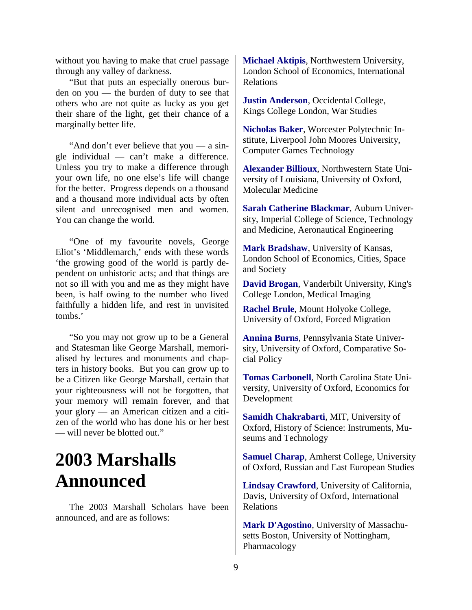without you having to make that cruel passage through any valley of darkness.

"But that puts an especially onerous burden on you — the burden of duty to see that others who are not quite as lucky as you get their share of the light, get their chance of a marginally better life.

"And don't ever believe that you — a single individual — can't make a difference. Unless you try to make a difference through your own life, no one else's life will change for the better. Progress depends on a thousand and a thousand more individual acts by often silent and unrecognised men and women. You can change the world.

"One of my favourite novels, George Eliot's 'Middlemarch,' ends with these words 'the growing good of the world is partly dependent on unhistoric acts; and that things are not so ill with you and me as they might have been, is half owing to the number who lived faithfully a hidden life, and rest in unvisited tombs.'

"So you may not grow up to be a General and Statesman like George Marshall, memorialised by lectures and monuments and chapters in history books. But you can grow up to be a Citizen like George Marshall, certain that your righteousness will not be forgotten, that your memory will remain forever, and that your glory — an American citizen and a citizen of the world who has done his or her best — will never be blotted out."

# **2003 Marshalls Announced**

The 2003 Marshall Scholars have been announced, and are as follows:

**Michael Aktipis**, Northwestern University, London School of Economics, International Relations

**Justin Anderson**, Occidental College, Kings College London, War Studies

**Nicholas Baker**, Worcester Polytechnic Institute, Liverpool John Moores University, Computer Games Technology

**Alexander Billioux**, Northwestern State University of Louisiana, University of Oxford, Molecular Medicine

**Sarah Catherine Blackmar**, Auburn University, Imperial College of Science, Technology and Medicine, Aeronautical Engineering

**Mark Bradshaw**, University of Kansas, London School of Economics, Cities, Space and Society

**David Brogan**, Vanderbilt University, King's College London, Medical Imaging

**Rachel Brule**, Mount Holyoke College, University of Oxford, Forced Migration

**Annina Burns**, Pennsylvania State University, University of Oxford, Comparative Social Policy

**Tomas Carbonell**, North Carolina State University, University of Oxford, Economics for Development

**Samidh Chakrabarti**, MIT, University of Oxford, History of Science: Instruments, Museums and Technology

**Samuel Charap**, Amherst College, University of Oxford, Russian and East European Studies

**Lindsay Crawford**, University of California, Davis, University of Oxford, International Relations

**Mark D'Agostino**, University of Massachusetts Boston, University of Nottingham, Pharmacology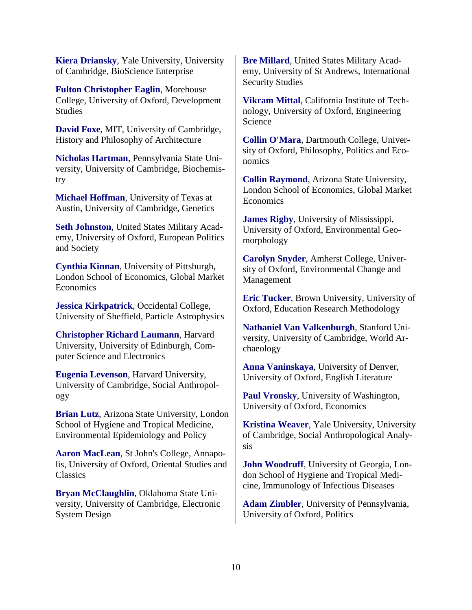**Kiera Driansky**, Yale University, University of Cambridge, BioScience Enterprise

**Fulton Christopher Eaglin**, Morehouse College, University of Oxford, Development Studies

**David Foxe**, MIT, University of Cambridge, History and Philosophy of Architecture

**Nicholas Hartman**, Pennsylvania State University, University of Cambridge, Biochemistry

**Michael Hoffman**, University of Texas at Austin, University of Cambridge, Genetics

**Seth Johnston**, United States Military Academy, University of Oxford, European Politics and Society

**Cynthia Kinnan**, University of Pittsburgh, London School of Economics, Global Market **Economics** 

**Jessica Kirkpatrick**, Occidental College, University of Sheffield, Particle Astrophysics

**Christopher Richard Laumann**, Harvard University, University of Edinburgh, Computer Science and Electronics

**Eugenia Levenson**, Harvard University, University of Cambridge, Social Anthropology

**Brian Lutz**, Arizona State University, London School of Hygiene and Tropical Medicine, Environmental Epidemiology and Policy

**Aaron MacLean**, St John's College, Annapolis, University of Oxford, Oriental Studies and **Classics** 

**Bryan McClaughlin**, Oklahoma State University, University of Cambridge, Electronic System Design

**Bre Millard**, United States Military Academy, University of St Andrews, International Security Studies

**Vikram Mittal**, California Institute of Technology, University of Oxford, Engineering Science

**Collin O'Mara**, Dartmouth College, University of Oxford, Philosophy, Politics and Economics

**Collin Raymond**, Arizona State University, London School of Economics, Global Market **Economics** 

**James Rigby**, University of Mississippi, University of Oxford, Environmental Geomorphology

**Carolyn Snyder**, Amherst College, University of Oxford, Environmental Change and Management

**Eric Tucker**, Brown University, University of Oxford, Education Research Methodology

**Nathaniel Van Valkenburgh**, Stanford University, University of Cambridge, World Archaeology

**Anna Vaninskaya**, University of Denver, University of Oxford, English Literature

**Paul Vronsky**, University of Washington, University of Oxford, Economics

**Kristina Weaver**, Yale University, University of Cambridge, Social Anthropological Analysis

**John Woodruff**, University of Georgia, London School of Hygiene and Tropical Medicine, Immunology of Infectious Diseases

**Adam Zimbler**, University of Pennsylvania, University of Oxford, Politics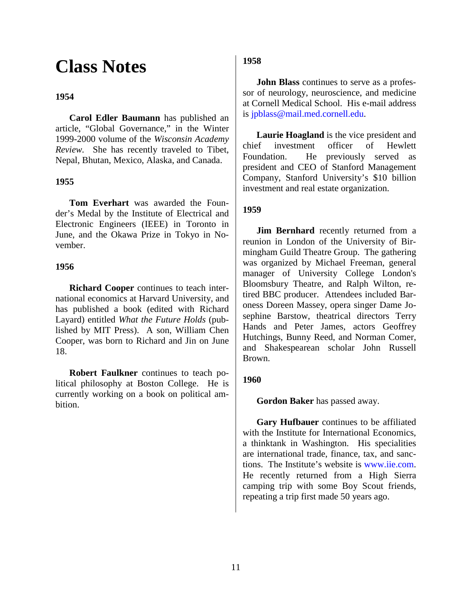# **Class Notes**

# **1954**

**Carol Edler Baumann** has published an article, "Global Governance," in the Winter 1999-2000 volume of the *Wisconsin Academy Review.* She has recently traveled to Tibet, Nepal, Bhutan, Mexico, Alaska, and Canada.

### **1955**

**Tom Everhart** was awarded the Founder's Medal by the Institute of Electrical and Electronic Engineers (IEEE) in Toronto in June, and the Okawa Prize in Tokyo in November.

### **1956**

**Richard Cooper** continues to teach international economics at Harvard University, and has published a book (edited with Richard Layard) entitled *What the Future Holds* (published by MIT Press). A son, William Chen Cooper, was born to Richard and Jin on June 18.

**Robert Faulkner** continues to teach political philosophy at Boston College. He is currently working on a book on political ambition.

# **1958**

**John Blass** continues to serve as a professor of neurology, neuroscience, and medicine at Cornell Medical School. His e-mail address is [jpblass@mail.med.cornell.edu.](mailto:jpblass@mail.med.cornell.edu)

**Laurie Hoagland** is the vice president and chief investment officer of Hewlett Foundation. He previously served as president and CEO of Stanford Management Company, Stanford University's \$10 billion investment and real estate organization.

### **1959**

**Jim Bernhard** recently returned from a reunion in London of the University of Birmingham Guild Theatre Group. The gathering was organized by Michael Freeman, general manager of University College London's Bloomsbury Theatre, and Ralph Wilton, retired BBC producer. Attendees included Baroness Doreen Massey, opera singer Dame Josephine Barstow, theatrical directors Terry Hands and Peter James, actors Geoffrey Hutchings, Bunny Reed, and Norman Comer, and Shakespearean scholar John Russell Brown.

### **1960**

**Gordon Baker** has passed away.

**Gary Hufbauer** continues to be affiliated with the Institute for International Economics, a thinktank in Washington. His specialities are international trade, finance, tax, and sanctions. The Institute's website is [www.iie.com.](http://www.iie.com/) He recently returned from a High Sierra camping trip with some Boy Scout friends, repeating a trip first made 50 years ago.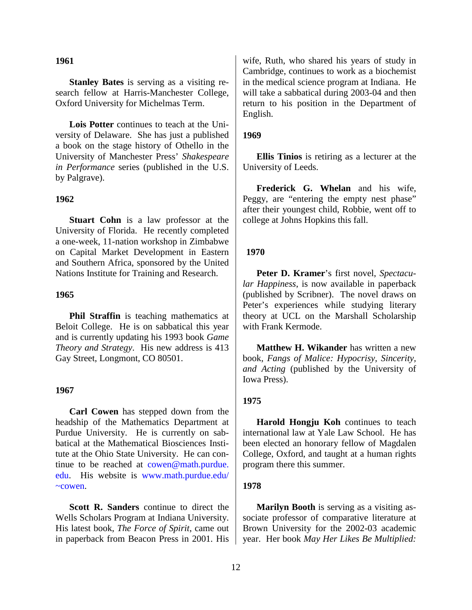#### **1961**

**Stanley Bates** is serving as a visiting research fellow at Harris-Manchester College, Oxford University for Michelmas Term.

**Lois Potter** continues to teach at the University of Delaware. She has just a published a book on the stage history of Othello in the University of Manchester Press' *Shakespeare in Performance* series (published in the U.S. by Palgrave).

#### **1962**

**Stuart Cohn** is a law professor at the University of Florida. He recently completed a one-week, 11-nation workshop in Zimbabwe on Capital Market Development in Eastern and Southern Africa, sponsored by the United Nations Institute for Training and Research.

#### **1965**

**Phil Straffin** is teaching mathematics at Beloit College. He is on sabbatical this year and is currently updating his 1993 book *Game Theory and Strategy*. His new address is 413 Gay Street, Longmont, CO 80501.

#### **1967**

**Carl Cowen** has stepped down from the headship of the Mathematics Department at Purdue University. He is currently on sabbatical at the Mathematical Biosciences Institute at the Ohio State University. He can continue to be reached at [cowen@math.purdue.](mailto:cowen@math.purdue) [edu.](mailto:cowen@math.purdue) His website is [www.math.purdue.edu/](http://www.math.purdue.edu/~cowen) [~cowen.](http://www.math.purdue.edu/~cowen)

**Scott R. Sanders** continue to direct the Wells Scholars Program at Indiana University. His latest book, *The Force of Spirit*, came out in paperback from Beacon Press in 2001. His

wife, Ruth, who shared his years of study in Cambridge, continues to work as a biochemist in the medical science program at Indiana. He will take a sabbatical during 2003-04 and then return to his position in the Department of English.

#### **1969**

**Ellis Tinios** is retiring as a lecturer at the University of Leeds.

**Frederick G. Whelan** and his wife, Peggy, are "entering the empty nest phase" after their youngest child, Robbie, went off to college at Johns Hopkins this fall.

#### **1970**

**Peter D. Kramer**'s first novel, *Spectacular Happiness*, is now available in paperback (published by Scribner). The novel draws on Peter's experiences while studying literary theory at UCL on the Marshall Scholarship with Frank Kermode.

**Matthew H. Wikander** has written a new book, *Fangs of Malice: Hypocrisy, Sincerity, and Acting* (published by the University of Iowa Press).

#### **1975**

**Harold Hongju Koh** continues to teach international law at Yale Law School. He has been elected an honorary fellow of Magdalen College, Oxford, and taught at a human rights program there this summer.

#### **1978**

**Marilyn Booth** is serving as a visiting associate professor of comparative literature at Brown University for the 2002-03 academic year. Her book *May Her Likes Be Multiplied:*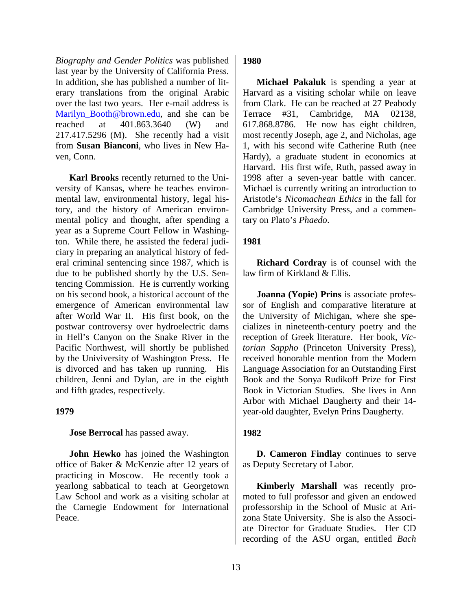*Biography and Gender Politics* was published last year by the University of California Press. In addition, she has published a number of literary translations from the original Arabic over the last two years. Her e-mail address is Marilyn Booth@brown.edu, and she can be reached at 401.863.3640 (W) and 217.417.5296 (M). She recently had a visit from **Susan Bianconi**, who lives in New Haven, Conn.

**Karl Brooks** recently returned to the University of Kansas, where he teaches environmental law, environmental history, legal history, and the history of American environmental policy and thought, after spending a year as a Supreme Court Fellow in Washington. While there, he assisted the federal judiciary in preparing an analytical history of federal criminal sentencing since 1987, which is due to be published shortly by the U.S. Sentencing Commission. He is currently working on his second book, a historical account of the emergence of American environmental law after World War II. His first book, on the postwar controversy over hydroelectric dams in Hell's Canyon on the Snake River in the Pacific Northwest, will shortly be published by the Univiversity of Washington Press. He is divorced and has taken up running. His children, Jenni and Dylan, are in the eighth and fifth grades, respectively.

### **1979**

**Jose Berrocal** has passed away.

**John Hewko** has joined the Washington office of Baker & McKenzie after 12 years of practicing in Moscow. He recently took a yearlong sabbatical to teach at Georgetown Law School and work as a visiting scholar at the Carnegie Endowment for International Peace.

### **1980**

**Michael Pakaluk** is spending a year at Harvard as a visiting scholar while on leave from Clark. He can be reached at 27 Peabody Terrace #31, Cambridge, MA 02138, 617.868.8786. He now has eight children, most recently Joseph, age 2, and Nicholas, age 1, with his second wife Catherine Ruth (nee Hardy), a graduate student in economics at Harvard. His first wife, Ruth, passed away in 1998 after a seven-year battle with cancer. Michael is currently writing an introduction to Aristotle's *Nicomachean Ethics* in the fall for Cambridge University Press, and a commentary on Plato's *Phaedo*.

# **1981**

**Richard Cordray** is of counsel with the law firm of Kirkland & Ellis.

**Joanna (Yopie) Prins** is associate professor of English and comparative literature at the University of Michigan, where she specializes in nineteenth-century poetry and the reception of Greek literature. Her book, *Victorian Sappho* (Princeton University Press), received honorable mention from the Modern Language Association for an Outstanding First Book and the Sonya Rudikoff Prize for First Book in Victorian Studies. She lives in Ann Arbor with Michael Daugherty and their 14 year-old daughter, Evelyn Prins Daugherty.

### **1982**

**D. Cameron Findlay** continues to serve as Deputy Secretary of Labor.

**Kimberly Marshall** was recently promoted to full professor and given an endowed professorship in the School of Music at Arizona State University. She is also the Associate Director for Graduate Studies. Her CD recording of the ASU organ, entitled *Bach*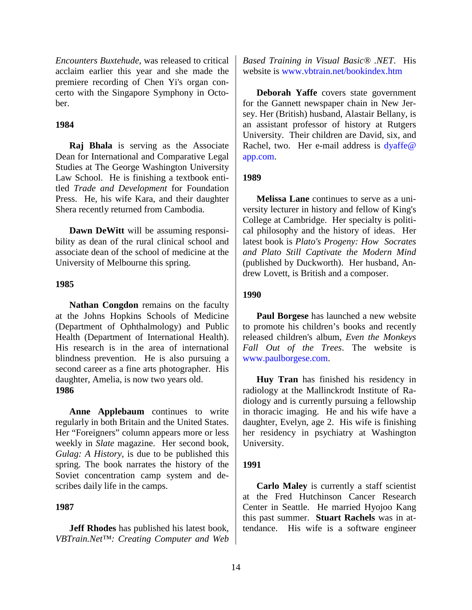*Encounters Buxtehude*, was released to critical acclaim earlier this year and she made the premiere recording of Chen Yi's organ concerto with the Singapore Symphony in October.

#### **1984**

**Raj Bhala** is serving as the Associate Dean for International and Comparative Legal Studies at The George Washington University Law School. He is finishing a textbook entitled *Trade and Development* for Foundation Press. He, his wife Kara, and their daughter Shera recently returned from Cambodia.

**Dawn DeWitt** will be assuming responsibility as dean of the rural clinical school and associate dean of the school of medicine at the University of Melbourne this spring.

### **1985**

**Nathan Congdon** remains on the faculty at the Johns Hopkins Schools of Medicine (Department of Ophthalmology) and Public Health (Department of International Health). His research is in the area of international blindness prevention. He is also pursuing a second career as a fine arts photographer. His daughter, Amelia, is now two years old. **1986**

**Anne Applebaum** continues to write regularly in both Britain and the United States. Her "Foreigners" column appears more or less weekly in *Slate* magazine. Her second book, *Gulag: A History*, is due to be published this spring. The book narrates the history of the Soviet concentration camp system and describes daily life in the camps.

#### **1987**

**Jeff Rhodes** has published his latest book, *VBTrain.Net™: Creating Computer and Web* *Based Training in Visual Basic® .NET*. His website is [www.vbtrain.net/bookindex.htm](http://www.vbtrain.net/bookindex.htm)

**Deborah Yaffe** covers state government for the Gannett newspaper chain in New Jersey. Her (British) husband, Alastair Bellany, is an assistant professor of history at Rutgers University. Their children are David, six, and Rachel, two. Her e-mail address is [dyaffe@](mailto:dyaffe@ app.com) [app.com.](mailto:dyaffe@ app.com)

#### **1989**

**Melissa Lane** continues to serve as a university lecturer in history and fellow of King's College at Cambridge. Her specialty is political philosophy and the history of ideas. Her latest book is *Plato's Progeny: How Socrates and Plato Still Captivate the Modern Mind* (published by Duckworth). Her husband, Andrew Lovett, is British and a composer.

#### **1990**

**Paul Borgese** has launched a new website to promote his children's books and recently released children's album, *Even the Monkeys Fall Out of the Trees*. The website is [www.paulborgese.com.](http://www.paulborgese.com/)

**Huy Tran** has finished his residency in radiology at the Mallinckrodt Institute of Radiology and is currently pursuing a fellowship in thoracic imaging. He and his wife have a daughter, Evelyn, age 2. His wife is finishing her residency in psychiatry at Washington University.

#### **1991**

**Carlo Maley** is currently a staff scientist at the Fred Hutchinson Cancer Research Center in Seattle. He married Hyojoo Kang this past summer. **Stuart Rachels** was in attendance. His wife is a software engineer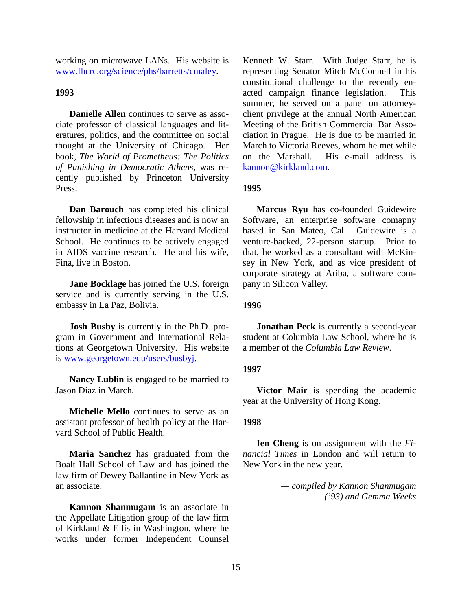working on microwave LANs. His website is [www.fhcrc.org/science/phs/barretts/cmaley.](http://www.fhcrc.org/science/phs/barretts/cmaley)

# **1993**

**Danielle Allen** continues to serve as associate professor of classical languages and literatures, politics, and the committee on social thought at the University of Chicago. Her book, *The World of Prometheus: The Politics of Punishing in Democratic Athens*, was recently published by Princeton University Press.

**Dan Barouch** has completed his clinical fellowship in infectious diseases and is now an instructor in medicine at the Harvard Medical School. He continues to be actively engaged in AIDS vaccine research. He and his wife, Fina, live in Boston.

**Jane Bocklage** has joined the U.S. foreign service and is currently serving in the U.S. embassy in La Paz, Bolivia.

**Josh Busby** is currently in the Ph.D. program in Government and International Relations at Georgetown University. His website is [www.georgetown.edu/users/busbyj.](http://www.georgetown.edu/users/busbyj)

**Nancy Lublin** is engaged to be married to Jason Diaz in March.

**Michelle Mello** continues to serve as an assistant professor of health policy at the Harvard School of Public Health.

**Maria Sanchez** has graduated from the Boalt Hall School of Law and has joined the law firm of Dewey Ballantine in New York as an associate.

**Kannon Shanmugam** is an associate in the Appellate Litigation group of the law firm of Kirkland & Ellis in Washington, where he works under former Independent Counsel

Kenneth W. Starr. With Judge Starr, he is representing Senator Mitch McConnell in his constitutional challenge to the recently enacted campaign finance legislation. This summer, he served on a panel on attorneyclient privilege at the annual North American Meeting of the British Commercial Bar Association in Prague. He is due to be married in March to Victoria Reeves, whom he met while on the Marshall. His e-mail address is [kannon@kirkland.com.](mailto:kannon@kirkland.com)

# **1995**

**Marcus Ryu** has co-founded Guidewire Software, an enterprise software comapny based in San Mateo, Cal. Guidewire is a venture-backed, 22-person startup. Prior to that, he worked as a consultant with McKinsey in New York, and as vice president of corporate strategy at Ariba, a software company in Silicon Valley.

### **1996**

**Jonathan Peck** is currently a second-year student at Columbia Law School, where he is a member of the *Columbia Law Review*.

# **1997**

**Victor Mair** is spending the academic year at the University of Hong Kong.

# **1998**

**Ien Cheng** is on assignment with the *Financial Times* in London and will return to New York in the new year.

> *— compiled by Kannon Shanmugam ('93) and Gemma Weeks*